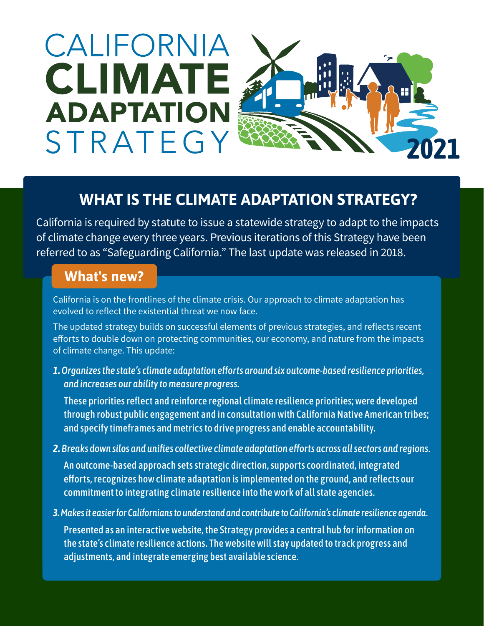# CALIFORNIA **CLIMATE ADAPTATION** STRATEGY



## **WHAT IS THE CLIMATE ADAPTATION STRATEGY?**

California is required by statute to issue a statewide strategy to adapt to the impacts of climate change every three years. Previous iterations of this Strategy have been referred to as "Safeguarding California." The last update was released in 2018.

### **What's new?**

California is on the frontlines of the climate crisis. Our approach to climate adaptation has evolved to reflect the existential threat we now face.

The updated strategy builds on successful elements of previous strategies, and reflects recent efforts to double down on protecting communities, our economy, and nature from the impacts of climate change. This update:

*1. Organizes the state's climate adaptation efforts around six outcome-based resilience priorities, and increases our ability to measure progress.* 

These priorities reflect and reinforce regional climate resilience priorities; were developed through robust public engagement and in consultation with California Native American tribes; and specify timeframes and metrics to drive progress and enable accountability.

*2. Breaks down silos and unifies collective climate adaptation efforts across all sectors and regions.* 

An outcome-based approach sets strategic direction, supports coordinated, integrated efforts, recognizes how climate adaptation is implemented on the ground, and reflects our commitment to integrating climate resilience into the work of all state agencies.

*3. Makes it easier for Californians to understand and contribute to California's climate resilience agenda.*

Presented as an interactive website, the Strategy provides a central hub for information on the state's climate resilience actions. The website will stay updated to track progress and adjustments, and integrate emerging best available science.